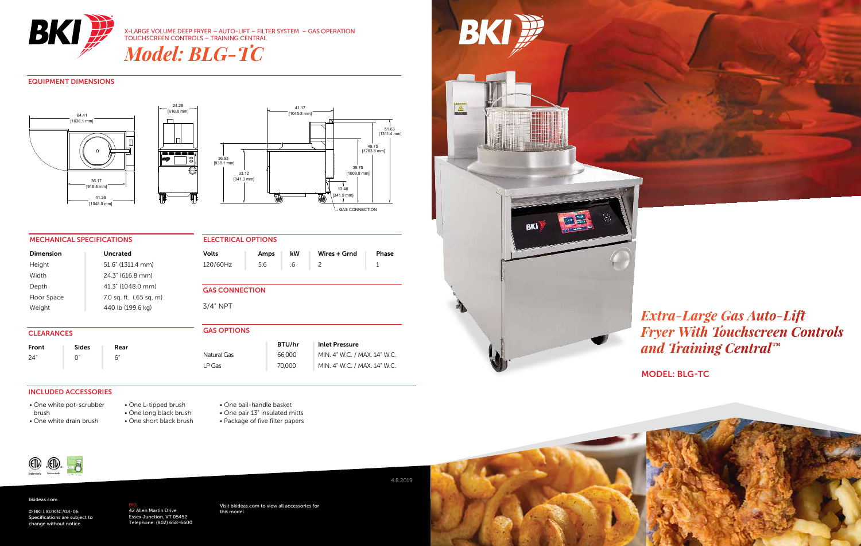

X-LARGE VOLUME DEEP FRYER – AUTO-LIFT – FILTER SYSTEM – GAS OPERATION TOUCHSCREEN CONTROLS – TRAINING CENTRAL

*Model: BLG-TC*

TOP VIEW FRONT VIEW FRONT VIEW SIDE VIEW SIDE VIEW SIDE VIEW SIDE VIEW SIDE VIEW SIDE VIEW SIDE VIEW SIDE VIEW

# EQUIPMENT DIMENSIONS





# MECHANICAL SPECIFICATIONS

| Dimension   | Uncrated                |
|-------------|-------------------------|
| Height      | 51.6" (1311.4 mm)       |
| Width       | 24.3" (616.8 mm)        |
| Depth       | 41.3" (1048.0 mm)       |
| Floor Space | 7.0 sq. ft. (.65 sq. m) |
| Weight      | 440 lb (199.6 kg)       |

| ---------------       |      |    |              |       |  |  |
|-----------------------|------|----|--------------|-------|--|--|
| <b>Volts</b>          | Amps | kW | Wires + Grnd | Phase |  |  |
| 120/60Hz              | 5.6  | .6 | 2            |       |  |  |
|                       |      |    |              |       |  |  |
| <b>GAS CONNECTION</b> |      |    |              |       |  |  |
| 3/4" NPT              |      |    |              |       |  |  |

| <b>CLEARANCES</b> |              | <b>GAS OPTIONS</b> |                              |               |                              |
|-------------------|--------------|--------------------|------------------------------|---------------|------------------------------|
| Front             | <b>Sides</b> | Rear               |                              | <b>BTU/hr</b> | <b>Inlet Pressure</b>        |
| 24"               |              |                    | Natural Gas                  | 66,000        | MIN. 4" W.C. / MAX. 14" W.C. |
|                   | LP Gas       | 70,000             | MIN. 4" W.C. / MAX. 14" W.C. |               |                              |

ELECTRICAL OPTIONS

## INCLUDED ACCESSORIES

- One white pot-scrubber brush • One white drain brush
- One L-tipped brush • One long black brush • One short black brush
- One bail-handle basket • One pair 13" insulated mitts • Package of five filter papers



BKI P

# *Extra-Large Gas Auto-Lift Fryer With Touchscreen Controls and Training Central™*

MODEL: BLG-TC



## bkideas.com

© BKI LI0283C/08-06 Specifications are subject to change without notice.

<mark>BKI</mark><br>42 Allen Martin Drive<br>Essex Junction, VT 05452 Telephone: (802) 658-6600 Visit bkideas.com to view all accessories for this model.

## 4.8.2019